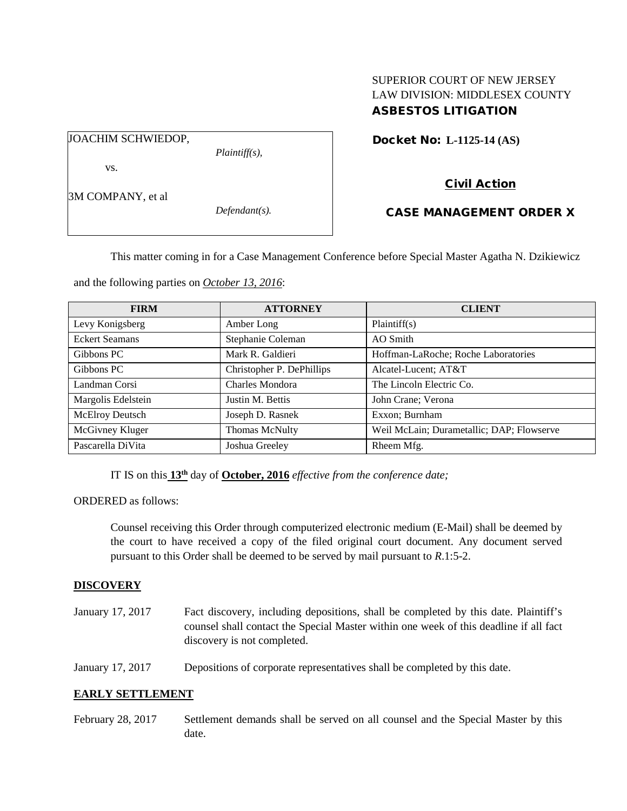## SUPERIOR COURT OF NEW JERSEY LAW DIVISION: MIDDLESEX COUNTY ASBESTOS LITIGATION

JOACHIM SCHWIEDOP,

*Plaintiff(s),*

Civil Action

Docket No: **L-1125-14 (AS)** 

3M COMPANY, et al

vs.

*Defendant(s).*

CASE MANAGEMENT ORDER X

This matter coming in for a Case Management Conference before Special Master Agatha N. Dzikiewicz

and the following parties on *October 13, 2016*:

| <b>FIRM</b>           | <b>ATTORNEY</b>           | <b>CLIENT</b>                             |
|-----------------------|---------------------------|-------------------------------------------|
| Levy Konigsberg       | Amber Long                | Plaintiff(s)                              |
| <b>Eckert Seamans</b> | Stephanie Coleman         | AO Smith                                  |
| Gibbons PC            | Mark R. Galdieri          | Hoffman-LaRoche; Roche Laboratories       |
| Gibbons PC            | Christopher P. DePhillips | Alcatel-Lucent; AT&T                      |
| Landman Corsi         | Charles Mondora           | The Lincoln Electric Co.                  |
| Margolis Edelstein    | Justin M. Bettis          | John Crane; Verona                        |
| McElroy Deutsch       | Joseph D. Rasnek          | Exxon; Burnham                            |
| McGivney Kluger       | <b>Thomas McNulty</b>     | Weil McLain; Durametallic; DAP; Flowserve |
| Pascarella DiVita     | Joshua Greeley            | Rheem Mfg.                                |

IT IS on this **13th** day of **October, 2016** *effective from the conference date;*

ORDERED as follows:

Counsel receiving this Order through computerized electronic medium (E-Mail) shall be deemed by the court to have received a copy of the filed original court document. Any document served pursuant to this Order shall be deemed to be served by mail pursuant to *R*.1:5-2.

## **DISCOVERY**

- January 17, 2017 Fact discovery, including depositions, shall be completed by this date. Plaintiff's counsel shall contact the Special Master within one week of this deadline if all fact discovery is not completed.
- January 17, 2017 Depositions of corporate representatives shall be completed by this date.

# **EARLY SETTLEMENT**

February 28, 2017 Settlement demands shall be served on all counsel and the Special Master by this date.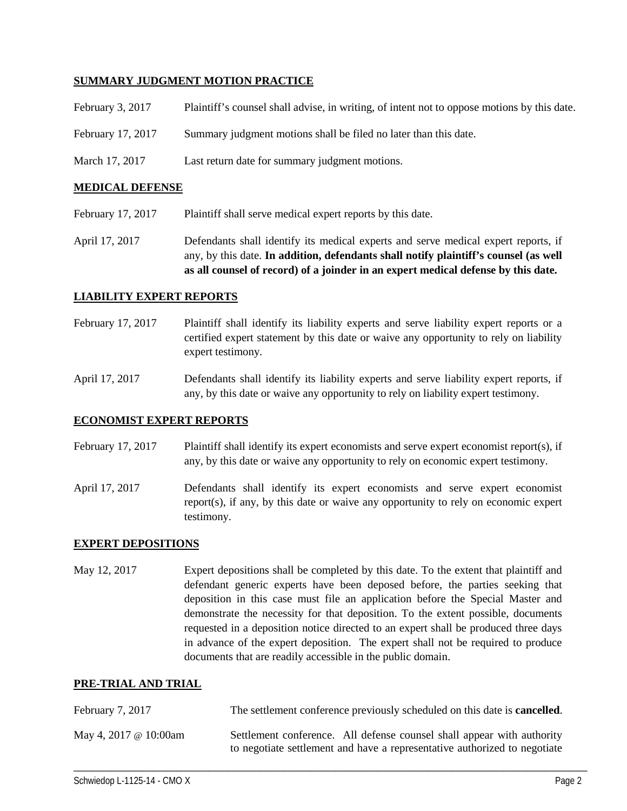### **SUMMARY JUDGMENT MOTION PRACTICE**

| February 3, 2017  | Plaintiff's counsel shall advise, in writing, of intent not to oppose motions by this date. |
|-------------------|---------------------------------------------------------------------------------------------|
| February 17, 2017 | Summary judgment motions shall be filed no later than this date.                            |
| March 17, 2017    | Last return date for summary judgment motions.                                              |

#### **MEDICAL DEFENSE**

February 17, 2017 Plaintiff shall serve medical expert reports by this date.

April 17, 2017 Defendants shall identify its medical experts and serve medical expert reports, if any, by this date. **In addition, defendants shall notify plaintiff's counsel (as well as all counsel of record) of a joinder in an expert medical defense by this date.**

### **LIABILITY EXPERT REPORTS**

- February 17, 2017 Plaintiff shall identify its liability experts and serve liability expert reports or a certified expert statement by this date or waive any opportunity to rely on liability expert testimony.
- April 17, 2017 Defendants shall identify its liability experts and serve liability expert reports, if any, by this date or waive any opportunity to rely on liability expert testimony.

#### **ECONOMIST EXPERT REPORTS**

February 17, 2017 Plaintiff shall identify its expert economists and serve expert economist report(s), if any, by this date or waive any opportunity to rely on economic expert testimony.

April 17, 2017 Defendants shall identify its expert economists and serve expert economist report(s), if any, by this date or waive any opportunity to rely on economic expert testimony.

#### **EXPERT DEPOSITIONS**

May 12, 2017 Expert depositions shall be completed by this date. To the extent that plaintiff and defendant generic experts have been deposed before, the parties seeking that deposition in this case must file an application before the Special Master and demonstrate the necessity for that deposition. To the extent possible, documents requested in a deposition notice directed to an expert shall be produced three days in advance of the expert deposition. The expert shall not be required to produce documents that are readily accessible in the public domain.

#### **PRE-TRIAL AND TRIAL**

| February 7, 2017      | The settlement conference previously scheduled on this date is <b>cancelled</b> .                                                                   |
|-----------------------|-----------------------------------------------------------------------------------------------------------------------------------------------------|
| May 4, 2017 @ 10:00am | Settlement conference. All defense counsel shall appear with authority<br>to negotiate settlement and have a representative authorized to negotiate |

\_\_\_\_\_\_\_\_\_\_\_\_\_\_\_\_\_\_\_\_\_\_\_\_\_\_\_\_\_\_\_\_\_\_\_\_\_\_\_\_\_\_\_\_\_\_\_\_\_\_\_\_\_\_\_\_\_\_\_\_\_\_\_\_\_\_\_\_\_\_\_\_\_\_\_\_\_\_\_\_\_\_\_\_\_\_\_\_\_\_\_\_\_\_\_\_\_\_\_\_\_\_\_\_\_\_\_\_\_\_